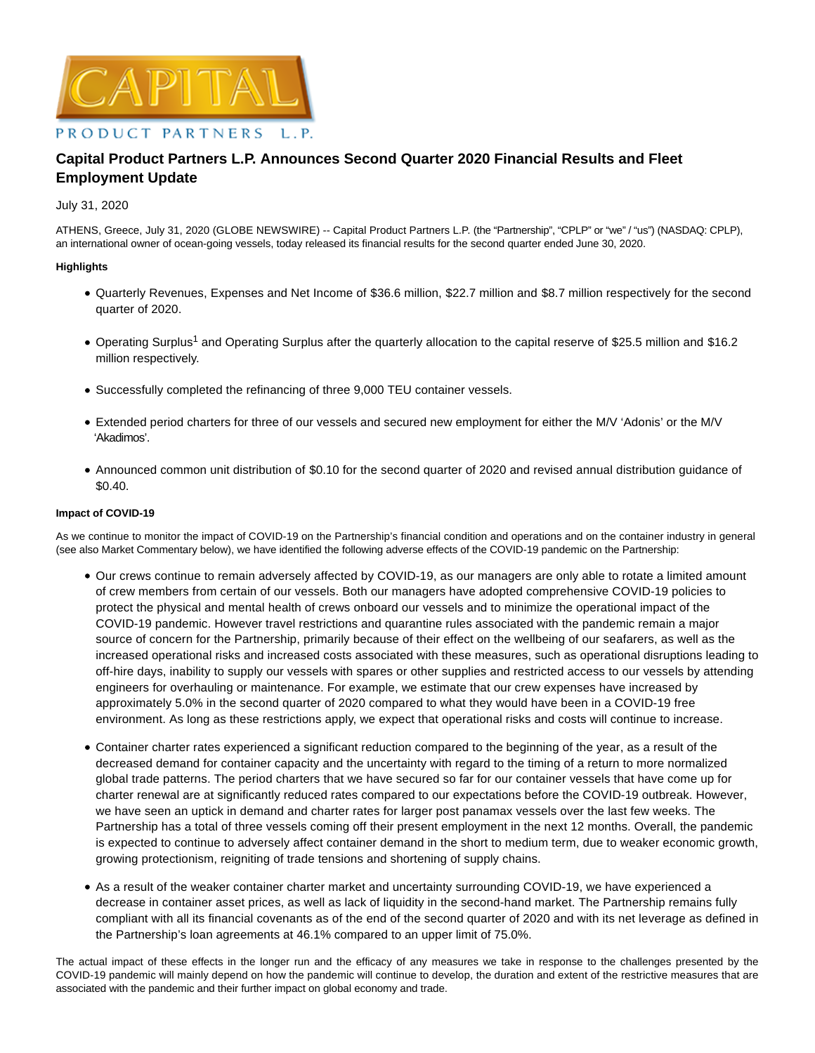

# **Capital Product Partners L.P. Announces Second Quarter 2020 Financial Results and Fleet Employment Update**

## July 31, 2020

ATHENS, Greece, July 31, 2020 (GLOBE NEWSWIRE) -- Capital Product Partners L.P. (the "Partnership", "CPLP" or "we" / "us") (NASDAQ: CPLP), an international owner of ocean-going vessels, today released its financial results for the second quarter ended June 30, 2020.

## **Highlights**

- Quarterly Revenues, Expenses and Net Income of \$36.6 million, \$22.7 million and \$8.7 million respectively for the second quarter of 2020.
- Operating Surplus<sup>1</sup> and Operating Surplus after the quarterly allocation to the capital reserve of \$25.5 million and \$16.2 million respectively.
- Successfully completed the refinancing of three 9,000 TEU container vessels.
- Extended period charters for three of our vessels and secured new employment for either the M/V 'Adonis' or the M/V 'Akadimos'.
- Announced common unit distribution of \$0.10 for the second quarter of 2020 and revised annual distribution guidance of \$0.40.

## **Impact of COVID-19**

As we continue to monitor the impact of COVID-19 on the Partnership's financial condition and operations and on the container industry in general (see also Market Commentary below), we have identified the following adverse effects of the COVID-19 pandemic on the Partnership:

- Our crews continue to remain adversely affected by COVID-19, as our managers are only able to rotate a limited amount of crew members from certain of our vessels. Both our managers have adopted comprehensive COVID-19 policies to protect the physical and mental health of crews onboard our vessels and to minimize the operational impact of the COVID-19 pandemic. However travel restrictions and quarantine rules associated with the pandemic remain a major source of concern for the Partnership, primarily because of their effect on the wellbeing of our seafarers, as well as the increased operational risks and increased costs associated with these measures, such as operational disruptions leading to off-hire days, inability to supply our vessels with spares or other supplies and restricted access to our vessels by attending engineers for overhauling or maintenance. For example, we estimate that our crew expenses have increased by approximately 5.0% in the second quarter of 2020 compared to what they would have been in a COVID-19 free environment. As long as these restrictions apply, we expect that operational risks and costs will continue to increase.
- Container charter rates experienced a significant reduction compared to the beginning of the year, as a result of the decreased demand for container capacity and the uncertainty with regard to the timing of a return to more normalized global trade patterns. The period charters that we have secured so far for our container vessels that have come up for charter renewal are at significantly reduced rates compared to our expectations before the COVID-19 outbreak. However, we have seen an uptick in demand and charter rates for larger post panamax vessels over the last few weeks. The Partnership has a total of three vessels coming off their present employment in the next 12 months. Overall, the pandemic is expected to continue to adversely affect container demand in the short to medium term, due to weaker economic growth, growing protectionism, reigniting of trade tensions and shortening of supply chains.
- As a result of the weaker container charter market and uncertainty surrounding COVID-19, we have experienced a decrease in container asset prices, as well as lack of liquidity in the second-hand market. The Partnership remains fully compliant with all its financial covenants as of the end of the second quarter of 2020 and with its net leverage as defined in the Partnership's loan agreements at 46.1% compared to an upper limit of 75.0%.

The actual impact of these effects in the longer run and the efficacy of any measures we take in response to the challenges presented by the COVID-19 pandemic will mainly depend on how the pandemic will continue to develop, the duration and extent of the restrictive measures that are associated with the pandemic and their further impact on global economy and trade.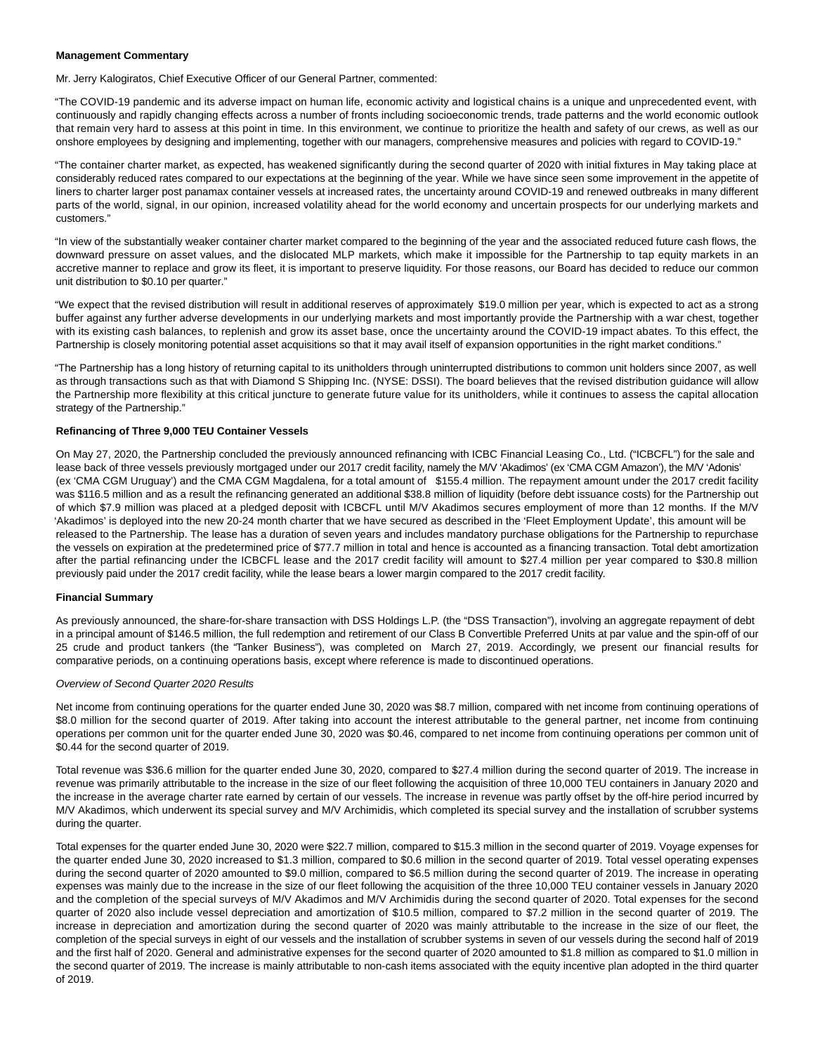#### **Management Commentary**

Mr. Jerry Kalogiratos, Chief Executive Officer of our General Partner, commented:

"The COVID-19 pandemic and its adverse impact on human life, economic activity and logistical chains is a unique and unprecedented event, with continuously and rapidly changing effects across a number of fronts including socioeconomic trends, trade patterns and the world economic outlook that remain very hard to assess at this point in time. In this environment, we continue to prioritize the health and safety of our crews, as well as our onshore employees by designing and implementing, together with our managers, comprehensive measures and policies with regard to COVID-19."

"The container charter market, as expected, has weakened significantly during the second quarter of 2020 with initial fixtures in May taking place at considerably reduced rates compared to our expectations at the beginning of the year. While we have since seen some improvement in the appetite of liners to charter larger post panamax container vessels at increased rates, the uncertainty around COVID-19 and renewed outbreaks in many different parts of the world, signal, in our opinion, increased volatility ahead for the world economy and uncertain prospects for our underlying markets and customers."

"In view of the substantially weaker container charter market compared to the beginning of the year and the associated reduced future cash flows, the downward pressure on asset values, and the dislocated MLP markets, which make it impossible for the Partnership to tap equity markets in an accretive manner to replace and grow its fleet, it is important to preserve liquidity. For those reasons, our Board has decided to reduce our common unit distribution to \$0.10 per quarter."

"We expect that the revised distribution will result in additional reserves of approximately \$19.0 million per year, which is expected to act as a strong buffer against any further adverse developments in our underlying markets and most importantly provide the Partnership with a war chest, together with its existing cash balances, to replenish and grow its asset base, once the uncertainty around the COVID-19 impact abates. To this effect, the Partnership is closely monitoring potential asset acquisitions so that it may avail itself of expansion opportunities in the right market conditions."

"The Partnership has a long history of returning capital to its unitholders through uninterrupted distributions to common unit holders since 2007, as well as through transactions such as that with Diamond S Shipping Inc. (NYSE: DSSI). The board believes that the revised distribution guidance will allow the Partnership more flexibility at this critical juncture to generate future value for its unitholders, while it continues to assess the capital allocation strategy of the Partnership."

## **Refinancing of Three 9,000 TEU Container Vessels**

On May 27, 2020, the Partnership concluded the previously announced refinancing with ICBC Financial Leasing Co., Ltd. ("ICBCFL") for the sale and lease back of three vessels previously mortgaged under our 2017 credit facility, namely the M/V 'Akadimos' (ex 'CMA CGM Amazon'), the M/V 'Adonis' (ex 'CMA CGM Uruguay') and the CMA CGM Magdalena, for a total amount of \$155.4 million. The repayment amount under the 2017 credit facility was \$116.5 million and as a result the refinancing generated an additional \$38.8 million of liquidity (before debt issuance costs) for the Partnership out of which \$7.9 million was placed at a pledged deposit with ICBCFL until M/V Akadimos secures employment of more than 12 months. If the M/V 'Akadimos' is deployed into the new 20-24 month charter that we have secured as described in the 'Fleet Employment Update', this amount will be released to the Partnership. The lease has a duration of seven years and includes mandatory purchase obligations for the Partnership to repurchase the vessels on expiration at the predetermined price of \$77.7 million in total and hence is accounted as a financing transaction. Total debt amortization after the partial refinancing under the ICBCFL lease and the 2017 credit facility will amount to \$27.4 million per year compared to \$30.8 million previously paid under the 2017 credit facility, while the lease bears a lower margin compared to the 2017 credit facility.

#### **Financial Summary**

As previously announced, the share-for-share transaction with DSS Holdings L.P. (the "DSS Transaction"), involving an aggregate repayment of debt in a principal amount of \$146.5 million, the full redemption and retirement of our Class B Convertible Preferred Units at par value and the spin-off of our 25 crude and product tankers (the "Tanker Business"), was completed on March 27, 2019. Accordingly, we present our financial results for comparative periods, on a continuing operations basis, except where reference is made to discontinued operations.

#### Overview of Second Quarter 2020 Results

Net income from continuing operations for the quarter ended June 30, 2020 was \$8.7 million, compared with net income from continuing operations of \$8.0 million for the second quarter of 2019. After taking into account the interest attributable to the general partner, net income from continuing operations per common unit for the quarter ended June 30, 2020 was \$0.46, compared to net income from continuing operations per common unit of \$0.44 for the second quarter of 2019.

Total revenue was \$36.6 million for the quarter ended June 30, 2020, compared to \$27.4 million during the second quarter of 2019. The increase in revenue was primarily attributable to the increase in the size of our fleet following the acquisition of three 10,000 TEU containers in January 2020 and the increase in the average charter rate earned by certain of our vessels. The increase in revenue was partly offset by the off-hire period incurred by M/V Akadimos, which underwent its special survey and M/V Archimidis, which completed its special survey and the installation of scrubber systems during the quarter.

Total expenses for the quarter ended June 30, 2020 were \$22.7 million, compared to \$15.3 million in the second quarter of 2019. Voyage expenses for the quarter ended June 30, 2020 increased to \$1.3 million, compared to \$0.6 million in the second quarter of 2019. Total vessel operating expenses during the second quarter of 2020 amounted to \$9.0 million, compared to \$6.5 million during the second quarter of 2019. The increase in operating expenses was mainly due to the increase in the size of our fleet following the acquisition of the three 10,000 TEU container vessels in January 2020 and the completion of the special surveys of M/V Akadimos and M/V Archimidis during the second quarter of 2020. Total expenses for the second quarter of 2020 also include vessel depreciation and amortization of \$10.5 million, compared to \$7.2 million in the second quarter of 2019. The increase in depreciation and amortization during the second quarter of 2020 was mainly attributable to the increase in the size of our fleet, the completion of the special surveys in eight of our vessels and the installation of scrubber systems in seven of our vessels during the second half of 2019 and the first half of 2020. General and administrative expenses for the second quarter of 2020 amounted to \$1.8 million as compared to \$1.0 million in the second quarter of 2019. The increase is mainly attributable to non-cash items associated with the equity incentive plan adopted in the third quarter of 2019.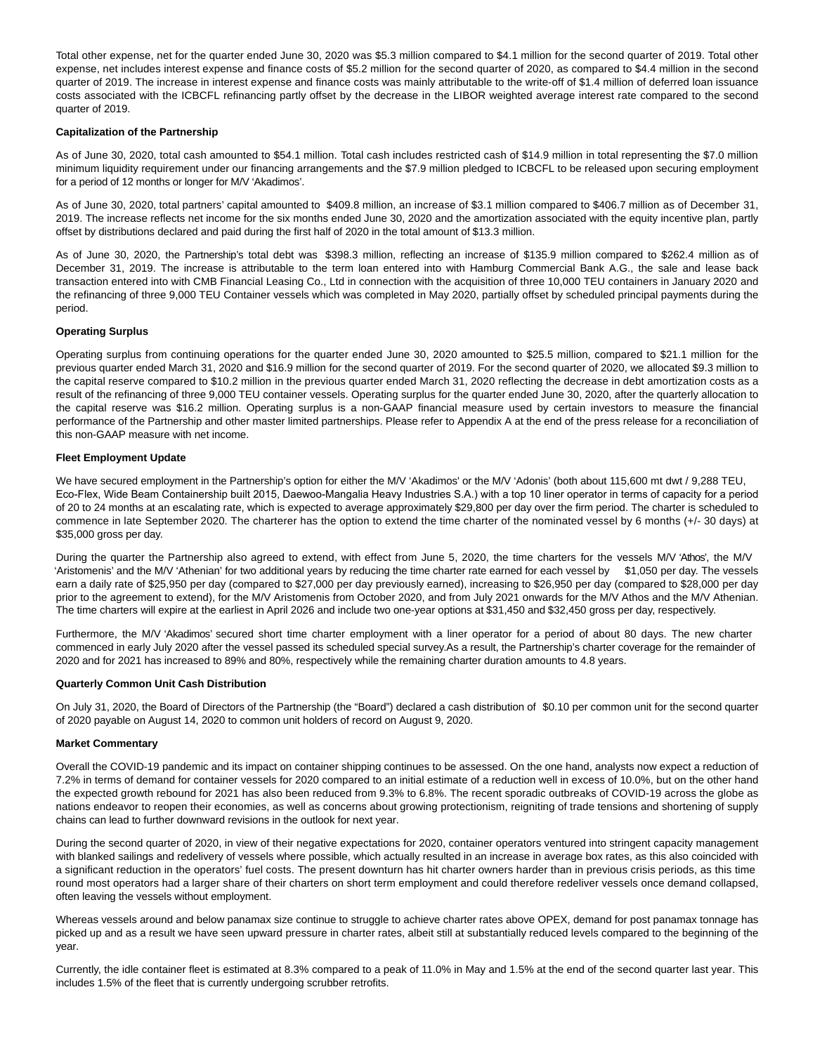Total other expense, net for the quarter ended June 30, 2020 was \$5.3 million compared to \$4.1 million for the second quarter of 2019. Total other expense, net includes interest expense and finance costs of \$5.2 million for the second quarter of 2020, as compared to \$4.4 million in the second quarter of 2019. The increase in interest expense and finance costs was mainly attributable to the write-off of \$1.4 million of deferred loan issuance costs associated with the ICBCFL refinancing partly offset by the decrease in the LIBOR weighted average interest rate compared to the second quarter of 2019.

## **Capitalization of the Partnership**

As of June 30, 2020, total cash amounted to \$54.1 million. Total cash includes restricted cash of \$14.9 million in total representing the \$7.0 million minimum liquidity requirement under our financing arrangements and the \$7.9 million pledged to ICBCFL to be released upon securing employment for a period of 12 months or longer for M/V 'Akadimos'.

As of June 30, 2020, total partners' capital amounted to \$409.8 million, an increase of \$3.1 million compared to \$406.7 million as of December 31, 2019. The increase reflects net income for the six months ended June 30, 2020 and the amortization associated with the equity incentive plan, partly offset by distributions declared and paid during the first half of 2020 in the total amount of \$13.3 million.

As of June 30, 2020, the Partnership's total debt was \$398.3 million, reflecting an increase of \$135.9 million compared to \$262.4 million as of December 31, 2019. The increase is attributable to the term loan entered into with Hamburg Commercial Bank A.G., the sale and lease back transaction entered into with CMB Financial Leasing Co., Ltd in connection with the acquisition of three 10,000 TEU containers in January 2020 and the refinancing of three 9,000 TEU Container vessels which was completed in May 2020, partially offset by scheduled principal payments during the period.

## **Operating Surplus**

Operating surplus from continuing operations for the quarter ended June 30, 2020 amounted to \$25.5 million, compared to \$21.1 million for the previous quarter ended March 31, 2020 and \$16.9 million for the second quarter of 2019. For the second quarter of 2020, we allocated \$9.3 million to the capital reserve compared to \$10.2 million in the previous quarter ended March 31, 2020 reflecting the decrease in debt amortization costs as a result of the refinancing of three 9,000 TEU container vessels. Operating surplus for the quarter ended June 30, 2020, after the quarterly allocation to the capital reserve was \$16.2 million. Operating surplus is a non-GAAP financial measure used by certain investors to measure the financial performance of the Partnership and other master limited partnerships. Please refer to Appendix A at the end of the press release for a reconciliation of this non-GAAP measure with net income.

#### **Fleet Employment Update**

We have secured employment in the Partnership's option for either the M/V 'Akadimos' or the M/V 'Adonis' (both about 115,600 mt dwt / 9,288 TEU, Eco-Flex, Wide Beam Containership built 2015, Daewoo-Mangalia Heavy Industries S.Α.) with a top 10 liner operator in terms of capacity for a period of 20 to 24 months at an escalating rate, which is expected to average approximately \$29,800 per day over the firm period. The charter is scheduled to commence in late September 2020. The charterer has the option to extend the time charter of the nominated vessel by 6 months (+/- 30 days) at \$35,000 gross per day.

During the quarter the Partnership also agreed to extend, with effect from June 5, 2020, the time charters for the vessels M/V 'Athos', the M/V 'Aristomenis' and the M/V 'Athenian' for two additional years by reducing the time charter rate earned for each vessel by \$1,050 per day. The vessels earn a daily rate of \$25,950 per day (compared to \$27,000 per day previously earned), increasing to \$26,950 per day (compared to \$28,000 per day prior to the agreement to extend), for the M/V Aristomenis from October 2020, and from July 2021 onwards for the M/V Athos and the M/V Athenian. The time charters will expire at the earliest in April 2026 and include two one-year options at \$31,450 and \$32,450 gross per day, respectively.

Furthermore, the M/V 'Akadimos' secured short time charter employment with a liner operator for a period of about 80 days. The new charter commenced in early July 2020 after the vessel passed its scheduled special survey.As a result, the Partnership's charter coverage for the remainder of 2020 and for 2021 has increased to 89% and 80%, respectively while the remaining charter duration amounts to 4.8 years.

#### **Quarterly Common Unit Cash Distribution**

On July 31, 2020, the Board of Directors of the Partnership (the "Board") declared a cash distribution of \$0.10 per common unit for the second quarter of 2020 payable on August 14, 2020 to common unit holders of record on August 9, 2020.

#### **Market Commentary**

Overall the COVID-19 pandemic and its impact on container shipping continues to be assessed. On the one hand, analysts now expect a reduction of 7.2% in terms of demand for container vessels for 2020 compared to an initial estimate of a reduction well in excess of 10.0%, but on the other hand the expected growth rebound for 2021 has also been reduced from 9.3% to 6.8%. The recent sporadic outbreaks of COVID-19 across the globe as nations endeavor to reopen their economies, as well as concerns about growing protectionism, reigniting of trade tensions and shortening of supply chains can lead to further downward revisions in the outlook for next year.

During the second quarter of 2020, in view of their negative expectations for 2020, container operators ventured into stringent capacity management with blanked sailings and redelivery of vessels where possible, which actually resulted in an increase in average box rates, as this also coincided with a significant reduction in the operators' fuel costs. The present downturn has hit charter owners harder than in previous crisis periods, as this time round most operators had a larger share of their charters on short term employment and could therefore redeliver vessels once demand collapsed, often leaving the vessels without employment.

Whereas vessels around and below panamax size continue to struggle to achieve charter rates above OPEX, demand for post panamax tonnage has picked up and as a result we have seen upward pressure in charter rates, albeit still at substantially reduced levels compared to the beginning of the year.

Currently, the idle container fleet is estimated at 8.3% compared to a peak of 11.0% in May and 1.5% at the end of the second quarter last year. This includes 1.5% of the fleet that is currently undergoing scrubber retrofits.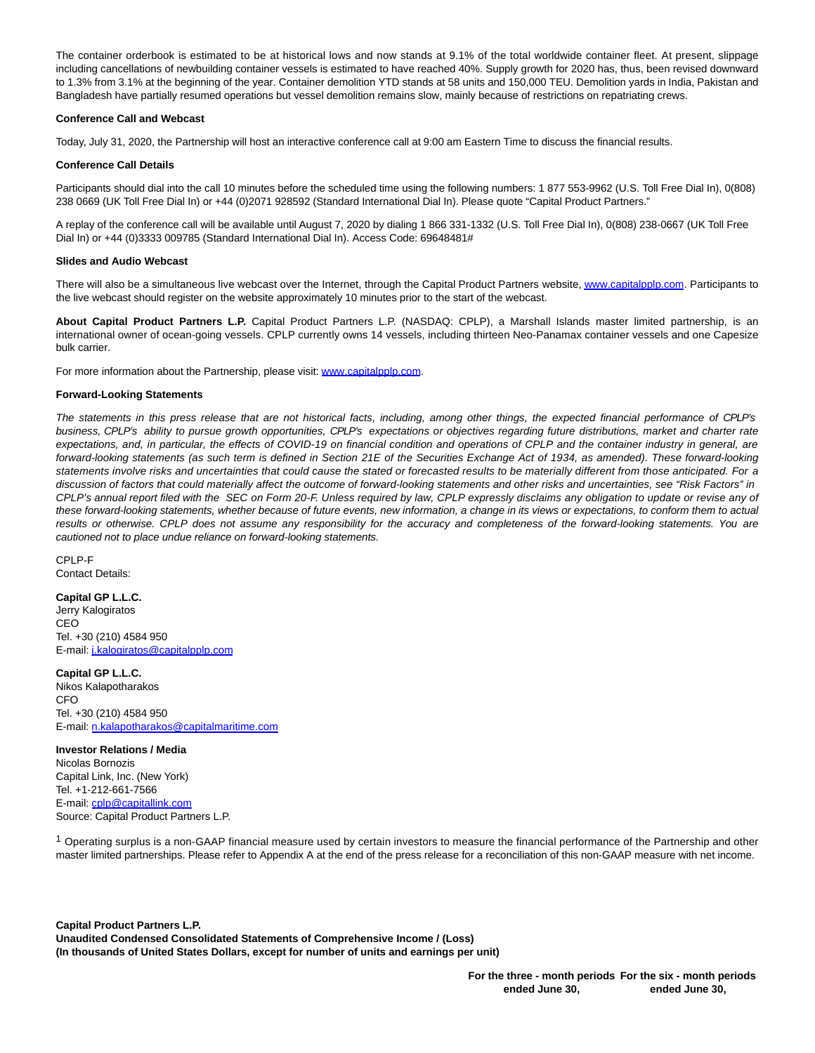The container orderbook is estimated to be at historical lows and now stands at 9.1% of the total worldwide container fleet. At present, slippage including cancellations of newbuilding container vessels is estimated to have reached 40%. Supply growth for 2020 has, thus, been revised downward to 1.3% from 3.1% at the beginning of the year. Container demolition YTD stands at 58 units and 150,000 TEU. Demolition yards in India, Pakistan and Bangladesh have partially resumed operations but vessel demolition remains slow, mainly because of restrictions on repatriating crews.

## **Conference Call and Webcast**

Today, July 31, 2020, the Partnership will host an interactive conference call at 9:00 am Eastern Time to discuss the financial results.

## **Conference Call Details**

Participants should dial into the call 10 minutes before the scheduled time using the following numbers: 1 877 553-9962 (U.S. Toll Free Dial In), 0(808) 238 0669 (UK Toll Free Dial In) or +44 (0)2071 928592 (Standard International Dial In). Please quote "Capital Product Partners."

A replay of the conference call will be available until August 7, 2020 by dialing 1 866 331-1332 (U.S. Toll Free Dial In), 0(808) 238-0667 (UK Toll Free Dial In) or +44 (0)3333 009785 (Standard International Dial In). Access Code: 69648481#

## **Slides and Audio Webcast**

There will also be a simultaneous live webcast over the Internet, through the Capital Product Partners website[, www.capitalpplp.com.](http://www.capitalpplp.com/) Participants to the live webcast should register on the website approximately 10 minutes prior to the start of the webcast.

**About Capital Product Partners L.P.** Capital Product Partners L.P. (NASDAQ: CPLP), a Marshall Islands master limited partnership, is an international owner of ocean-going vessels. CPLP currently owns 14 vessels, including thirteen Neo-Panamax container vessels and one Capesize bulk carrier.

For more information about the Partnership, please visit: [www.capitalpplp.com.](https://www.globenewswire.com/Tracker?data=Z4UoehXDDXqxWMczYfsuNrYUC0ol74upv-41exPmey0MDWznAaasgBI5pv1Na2hmW6hgfMdnwNA2VVrTy_1zjFJsxndwK4pnHXRRTUiOA7Q=)

## **Forward-Looking Statements**

The statements in this press release that are not historical facts, including, among other things, the expected financial performance of CPLP's business, CPLP's ability to pursue growth opportunities, CPLP's expectations or objectives regarding future distributions, market and charter rate expectations, and, in particular, the effects of COVID-19 on financial condition and operations of CPLP and the container industry in general, are forward-looking statements (as such term is defined in Section 21E of the Securities Exchange Act of 1934, as amended). These forward-looking statements involve risks and uncertainties that could cause the stated or forecasted results to be materially different from those anticipated. For a discussion of factors that could materially affect the outcome of forward-looking statements and other risks and uncertainties, see "Risk Factors" in CPLP's annual report filed with the SEC on Form 20-F. Unless required by law, CPLP expressly disclaims any obligation to update or revise any of these forward-looking statements, whether because of future events, new information, a change in its views or expectations, to conform them to actual results or otherwise. CPLP does not assume any responsibility for the accuracy and completeness of the forward-looking statements. You are cautioned not to place undue reliance on forward-looking statements.

CPLP-F Contact Details:

#### **Capital GP L.L.C.**

Jerry Kalogiratos CEO Tel. +30 (210) 4584 950 E-mail: [j.kalogiratos@capitalpplp.com](https://www.globenewswire.com/Tracker?data=bOjU054CB1sU5gBWTsIQ0-nCF4S_RTVRgYJUmNknrdMNNhoVT13TeFW9hQhg_9M3nW4ibMQEeqaQCSBSZhZpm7NR5pruO7NqvdIlHyrNwjG4YQBsWQaOaOQLkBeuHzGm)

**Capital GP L.L.C.** Nikos Kalapotharakos CFO Tel. +30 (210) 4584 950 E-mail: [n.kalapotharakos@capitalmaritime.com](https://www.globenewswire.com/Tracker?data=OvgqqJpJNulrAaKh4wjxngquEsb8tf3xPR_2E7W_PLqVfoIlUx4wHHqr0tiM5FFbyU4lheQ1llX1Snxvce_KYic1WQeiucKLg95uH5D4pVUQAYflY8o9SOM2Qd-VoVrzqmGsHc7aLdMuDymZpexgKA==)

**Investor Relations / Media** Nicolas Bornozis Capital Link, Inc. (New York) Tel. +1-212-661-7566 E-mail: [cplp@capitallink.com](https://www.globenewswire.com/Tracker?data=xQm7XLQ3ufrTu8OIWQUT5vKK8c5ImL0CoBdKftlXf9kJj7nysv5cSm0v-At_RZ-_prOpBxANNuBezrvLXGsT6syrb8u3xnqzsWDcpYY46Bg=) Source: Capital Product Partners L.P.

 $1$  Operating surplus is a non-GAAP financial measure used by certain investors to measure the financial performance of the Partnership and other master limited partnerships. Please refer to Appendix A at the end of the press release for a reconciliation of this non-GAAP measure with net income.

**Capital Product Partners L.P. Unaudited Condensed Consolidated Statements of Comprehensive Income / (Loss) (In thousands of United States Dollars, except for number of units and earnings per unit)**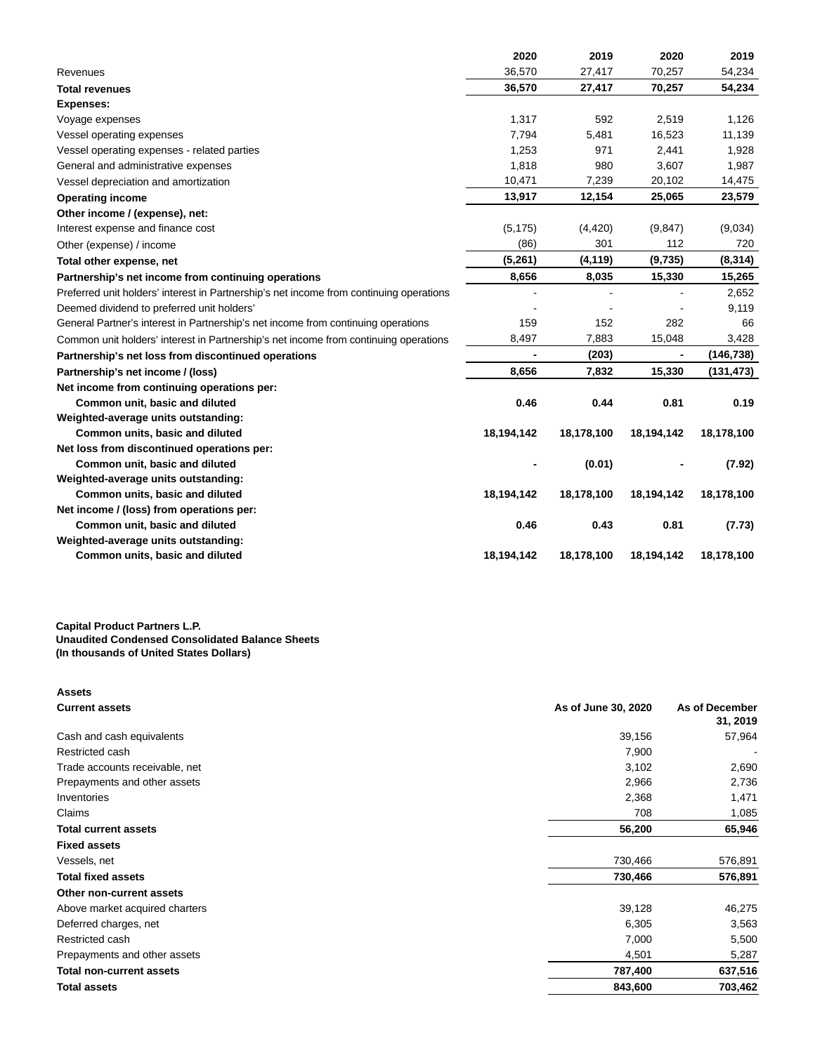|                                                                                         | 2020       | 2019       | 2020       | 2019       |
|-----------------------------------------------------------------------------------------|------------|------------|------------|------------|
| Revenues                                                                                | 36,570     | 27,417     | 70,257     | 54,234     |
| <b>Total revenues</b>                                                                   | 36,570     | 27,417     | 70,257     | 54,234     |
| <b>Expenses:</b>                                                                        |            |            |            |            |
| Voyage expenses                                                                         | 1,317      | 592        | 2,519      | 1,126      |
| Vessel operating expenses                                                               | 7,794      | 5,481      | 16,523     | 11,139     |
| Vessel operating expenses - related parties                                             | 1,253      | 971        | 2,441      | 1,928      |
| General and administrative expenses                                                     | 1,818      | 980        | 3,607      | 1,987      |
| Vessel depreciation and amortization                                                    | 10,471     | 7,239      | 20,102     | 14,475     |
| <b>Operating income</b>                                                                 | 13,917     | 12,154     | 25,065     | 23,579     |
| Other income / (expense), net:                                                          |            |            |            |            |
| Interest expense and finance cost                                                       | (5, 175)   | (4, 420)   | (9,847)    | (9,034)    |
| Other (expense) / income                                                                | (86)       | 301        | 112        | 720        |
| Total other expense, net                                                                | (5,261)    | (4, 119)   | (9,735)    | (8,314)    |
| Partnership's net income from continuing operations                                     | 8,656      | 8,035      | 15,330     | 15,265     |
| Preferred unit holders' interest in Partnership's net income from continuing operations |            |            |            | 2,652      |
| Deemed dividend to preferred unit holders'                                              |            |            |            | 9,119      |
| General Partner's interest in Partnership's net income from continuing operations       | 159        | 152        | 282        | 66         |
| Common unit holders' interest in Partnership's net income from continuing operations    | 8,497      | 7,883      | 15,048     | 3,428      |
| Partnership's net loss from discontinued operations                                     |            | (203)      |            | (146, 738) |
| Partnership's net income / (loss)                                                       | 8,656      | 7,832      | 15,330     | (131, 473) |
| Net income from continuing operations per:                                              |            |            |            |            |
| Common unit, basic and diluted                                                          | 0.46       | 0.44       | 0.81       | 0.19       |
| Weighted-average units outstanding:                                                     |            |            |            |            |
| Common units, basic and diluted                                                         | 18,194,142 | 18,178,100 | 18,194,142 | 18,178,100 |
| Net loss from discontinued operations per:                                              |            |            |            |            |
| Common unit, basic and diluted                                                          |            | (0.01)     |            | (7.92)     |
| Weighted-average units outstanding:                                                     |            |            |            |            |
| Common units, basic and diluted                                                         | 18,194,142 | 18,178,100 | 18,194,142 | 18,178,100 |
| Net income / (loss) from operations per:                                                |            |            |            |            |
| Common unit, basic and diluted                                                          | 0.46       | 0.43       | 0.81       | (7.73)     |
| Weighted-average units outstanding:                                                     |            |            |            |            |
| Common units, basic and diluted                                                         | 18,194,142 | 18,178,100 | 18,194,142 | 18,178,100 |

## **Capital Product Partners L.P. Unaudited Condensed Consolidated Balance Sheets (In thousands of United States Dollars)**

| <b>Assets</b>                  |                     |                |
|--------------------------------|---------------------|----------------|
| <b>Current assets</b>          | As of June 30, 2020 | As of December |
|                                |                     | 31, 2019       |
| Cash and cash equivalents      | 39,156              | 57,964         |
| Restricted cash                | 7,900               |                |
| Trade accounts receivable, net | 3,102               | 2,690          |
| Prepayments and other assets   | 2,966               | 2,736          |
| Inventories                    | 2,368               | 1,471          |
| Claims                         | 708                 | 1,085          |
| <b>Total current assets</b>    | 56,200              | 65,946         |
| <b>Fixed assets</b>            |                     |                |
| Vessels, net                   | 730,466             | 576,891        |
| <b>Total fixed assets</b>      | 730,466             | 576,891        |
| Other non-current assets       |                     |                |
| Above market acquired charters | 39,128              | 46,275         |
| Deferred charges, net          | 6,305               | 3,563          |
| Restricted cash                | 7,000               | 5,500          |
| Prepayments and other assets   | 4,501               | 5,287          |
| Total non-current assets       | 787,400             | 637,516        |
| <b>Total assets</b>            | 843,600             | 703,462        |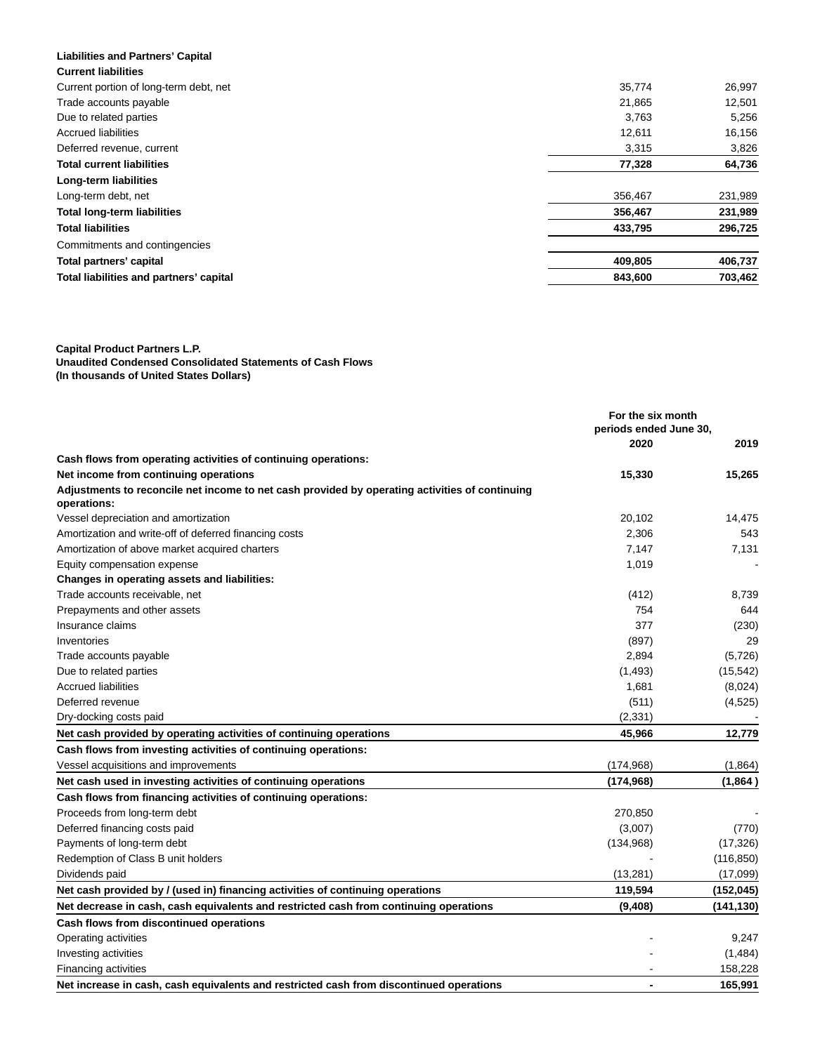| <b>Liabilities and Partners' Capital</b> |         |         |
|------------------------------------------|---------|---------|
| <b>Current liabilities</b>               |         |         |
| Current portion of long-term debt, net   | 35,774  | 26,997  |
| Trade accounts payable                   | 21,865  | 12,501  |
| Due to related parties                   | 3,763   | 5,256   |
| <b>Accrued liabilities</b>               | 12,611  | 16,156  |
| Deferred revenue, current                | 3,315   | 3,826   |
| <b>Total current liabilities</b>         | 77,328  | 64,736  |
| Long-term liabilities                    |         |         |
| Long-term debt, net                      | 356.467 | 231,989 |
| <b>Total long-term liabilities</b>       | 356,467 | 231,989 |
| <b>Total liabilities</b>                 | 433,795 | 296,725 |
| Commitments and contingencies            |         |         |
| Total partners' capital                  | 409,805 | 406,737 |
| Total liabilities and partners' capital  | 843,600 | 703,462 |

**Capital Product Partners L.P. Unaudited Condensed Consolidated Statements of Cash Flows (In thousands of United States Dollars)**

|                                                                                                               | For the six month<br>periods ended June 30, |            |
|---------------------------------------------------------------------------------------------------------------|---------------------------------------------|------------|
|                                                                                                               | 2020                                        | 2019       |
| Cash flows from operating activities of continuing operations:                                                |                                             |            |
| Net income from continuing operations                                                                         | 15,330                                      | 15,265     |
| Adjustments to reconcile net income to net cash provided by operating activities of continuing<br>operations: |                                             |            |
| Vessel depreciation and amortization                                                                          | 20,102                                      | 14,475     |
| Amortization and write-off of deferred financing costs                                                        | 2,306                                       | 543        |
| Amortization of above market acquired charters                                                                | 7,147                                       | 7,131      |
| Equity compensation expense                                                                                   | 1,019                                       |            |
| Changes in operating assets and liabilities:                                                                  |                                             |            |
| Trade accounts receivable, net                                                                                | (412)                                       | 8,739      |
| Prepayments and other assets                                                                                  | 754                                         | 644        |
| Insurance claims                                                                                              | 377                                         | (230)      |
| Inventories                                                                                                   | (897)                                       | 29         |
| Trade accounts payable                                                                                        | 2,894                                       | (5,726)    |
| Due to related parties                                                                                        | (1, 493)                                    | (15, 542)  |
| <b>Accrued liabilities</b>                                                                                    | 1,681                                       | (8,024)    |
| Deferred revenue                                                                                              | (511)                                       | (4,525)    |
| Dry-docking costs paid                                                                                        | (2, 331)                                    |            |
| Net cash provided by operating activities of continuing operations                                            | 45,966                                      | 12,779     |
| Cash flows from investing activities of continuing operations:                                                |                                             |            |
| Vessel acquisitions and improvements                                                                          | (174, 968)                                  | (1,864)    |
| Net cash used in investing activities of continuing operations                                                | (174, 968)                                  | (1,864)    |
| Cash flows from financing activities of continuing operations:                                                |                                             |            |
| Proceeds from long-term debt                                                                                  | 270,850                                     |            |
| Deferred financing costs paid                                                                                 | (3,007)                                     | (770)      |
| Payments of long-term debt                                                                                    | (134,968)                                   | (17, 326)  |
| Redemption of Class B unit holders                                                                            |                                             | (116, 850) |
| Dividends paid                                                                                                | (13, 281)                                   | (17,099)   |
| Net cash provided by / (used in) financing activities of continuing operations                                | 119,594                                     | (152, 045) |
| Net decrease in cash, cash equivalents and restricted cash from continuing operations                         | (9,408)                                     | (141, 130) |
| Cash flows from discontinued operations                                                                       |                                             |            |
| Operating activities                                                                                          |                                             | 9,247      |
| Investing activities                                                                                          |                                             | (1,484)    |
| <b>Financing activities</b>                                                                                   |                                             | 158,228    |
| Net increase in cash, cash equivalents and restricted cash from discontinued operations                       | $\blacksquare$                              | 165,991    |